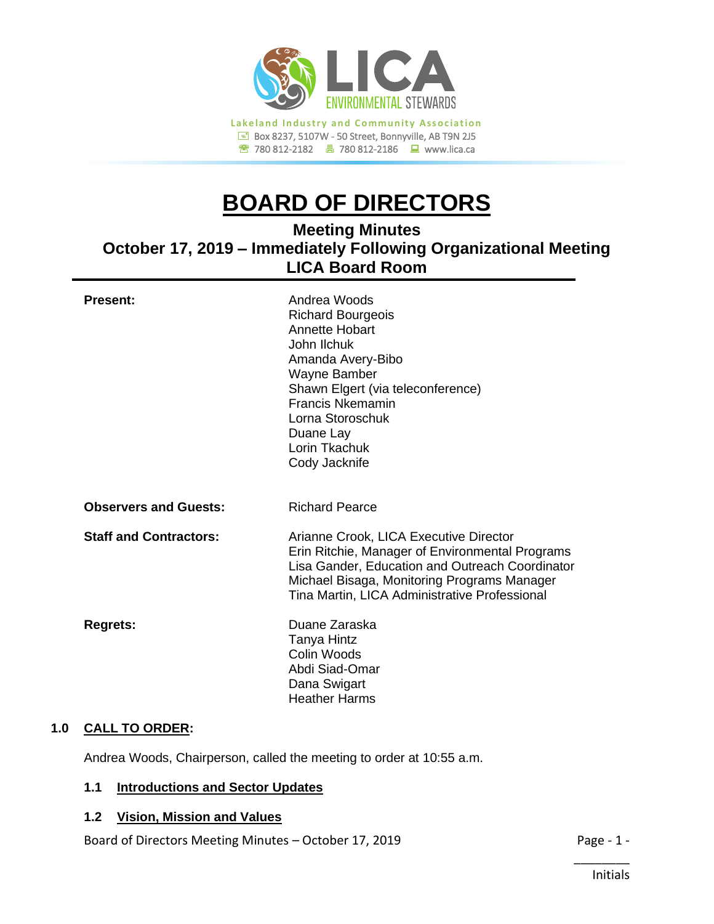

# **BOARD OF DIRECTORS**

# **Meeting Minutes October 17, 2019 – Immediately Following Organizational Meeting LICA Board Room**

| <b>Present:</b>               | Andrea Woods<br><b>Richard Bourgeois</b><br><b>Annette Hobart</b><br>John Ilchuk<br>Amanda Avery-Bibo<br>Wayne Bamber<br>Shawn Elgert (via teleconference)<br><b>Francis Nkemamin</b><br>Lorna Storoschuk<br>Duane Lay<br>Lorin Tkachuk<br>Cody Jacknife |
|-------------------------------|----------------------------------------------------------------------------------------------------------------------------------------------------------------------------------------------------------------------------------------------------------|
| <b>Observers and Guests:</b>  | <b>Richard Pearce</b>                                                                                                                                                                                                                                    |
| <b>Staff and Contractors:</b> | Arianne Crook, LICA Executive Director<br>Erin Ritchie, Manager of Environmental Programs<br>Lisa Gander, Education and Outreach Coordinator<br>Michael Bisaga, Monitoring Programs Manager<br>Tina Martin, LICA Administrative Professional             |
| <b>Regrets:</b>               | Duane Zaraska<br><b>Tanya Hintz</b><br>Colin Woods<br>Abdi Siad-Omar<br>Dana Swigart<br><b>Heather Harms</b>                                                                                                                                             |
| CALL TO ORDER.                |                                                                                                                                                                                                                                                          |

# **1.0 CALL TO ORDER:**

Andrea Woods, Chairperson, called the meeting to order at 10:55 a.m.

# **1.1 Introductions and Sector Updates**

#### **1.2 Vision, Mission and Values**

Board of Directors Meeting Minutes – October 17, 2019 **Page - 1 -** Page - 1 -

\_\_\_\_\_\_\_\_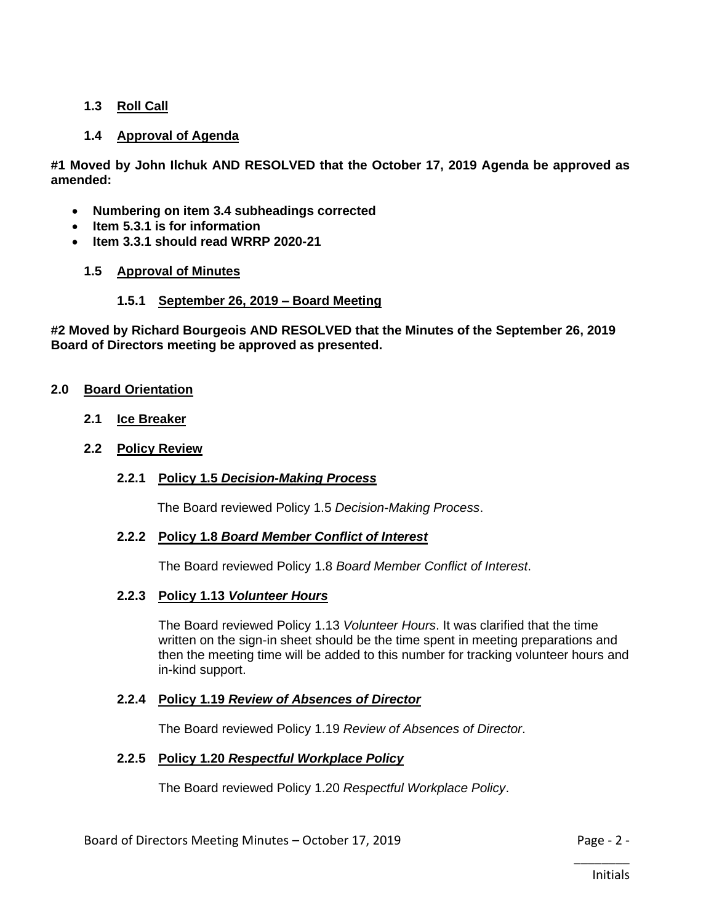# **1.3 Roll Call**

# **1.4 Approval of Agenda**

**#1 Moved by John Ilchuk AND RESOLVED that the October 17, 2019 Agenda be approved as amended:**

- **Numbering on item 3.4 subheadings corrected**
- **Item 5.3.1 is for information**
- **Item 3.3.1 should read WRRP 2020-21**

#### **1.5 Approval of Minutes**

#### **1.5.1 September 26, 2019 – Board Meeting**

**#2 Moved by Richard Bourgeois AND RESOLVED that the Minutes of the September 26, 2019 Board of Directors meeting be approved as presented.**

#### **2.0 Board Orientation**

**2.1 Ice Breaker**

#### **2.2 Policy Review**

**2.2.1 Policy 1.5** *Decision-Making Process*

The Board reviewed Policy 1.5 *Decision-Making Process*.

#### **2.2.2 Policy 1.8** *Board Member Conflict of Interest*

The Board reviewed Policy 1.8 *Board Member Conflict of Interest*.

#### **2.2.3 Policy 1.13** *Volunteer Hours*

The Board reviewed Policy 1.13 *Volunteer Hours*. It was clarified that the time written on the sign-in sheet should be the time spent in meeting preparations and then the meeting time will be added to this number for tracking volunteer hours and in-kind support.

#### **2.2.4 Policy 1.19** *Review of Absences of Director*

The Board reviewed Policy 1.19 *Review of Absences of Director*.

#### **2.2.5 Policy 1.20** *Respectful Workplace Policy*

The Board reviewed Policy 1.20 *Respectful Workplace Policy*.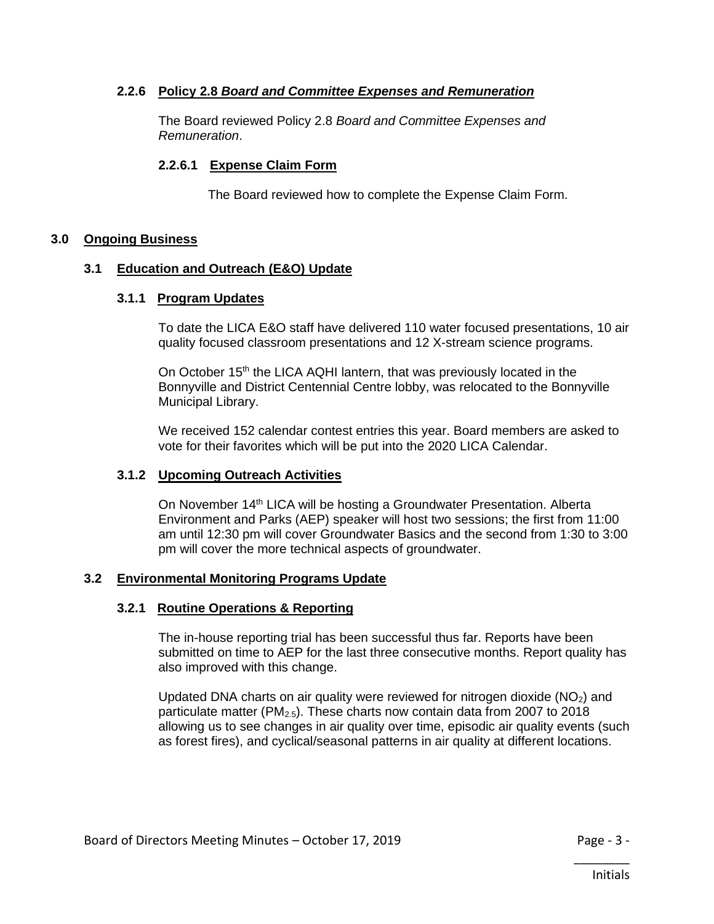# **2.2.6 Policy 2.8** *Board and Committee Expenses and Remuneration*

The Board reviewed Policy 2.8 *Board and Committee Expenses and Remuneration*.

#### **2.2.6.1 Expense Claim Form**

The Board reviewed how to complete the Expense Claim Form.

# **3.0 Ongoing Business**

#### **3.1 Education and Outreach (E&O) Update**

#### **3.1.1 Program Updates**

To date the LICA E&O staff have delivered 110 water focused presentations, 10 air quality focused classroom presentations and 12 X-stream science programs.

On October 15<sup>th</sup> the LICA AQHI lantern, that was previously located in the Bonnyville and District Centennial Centre lobby, was relocated to the Bonnyville Municipal Library.

We received 152 calendar contest entries this year. Board members are asked to vote for their favorites which will be put into the 2020 LICA Calendar.

# **3.1.2 Upcoming Outreach Activities**

On November 14<sup>th</sup> LICA will be hosting a Groundwater Presentation. Alberta Environment and Parks (AEP) speaker will host two sessions; the first from 11:00 am until 12:30 pm will cover Groundwater Basics and the second from 1:30 to 3:00 pm will cover the more technical aspects of groundwater.

#### **3.2 Environmental Monitoring Programs Update**

#### **3.2.1 Routine Operations & Reporting**

The in-house reporting trial has been successful thus far. Reports have been submitted on time to AEP for the last three consecutive months. Report quality has also improved with this change.

Updated DNA charts on air quality were reviewed for nitrogen dioxide  $(NO<sub>2</sub>)$  and particulate matter ( $PM<sub>2.5</sub>$ ). These charts now contain data from 2007 to 2018 allowing us to see changes in air quality over time, episodic air quality events (such as forest fires), and cyclical/seasonal patterns in air quality at different locations.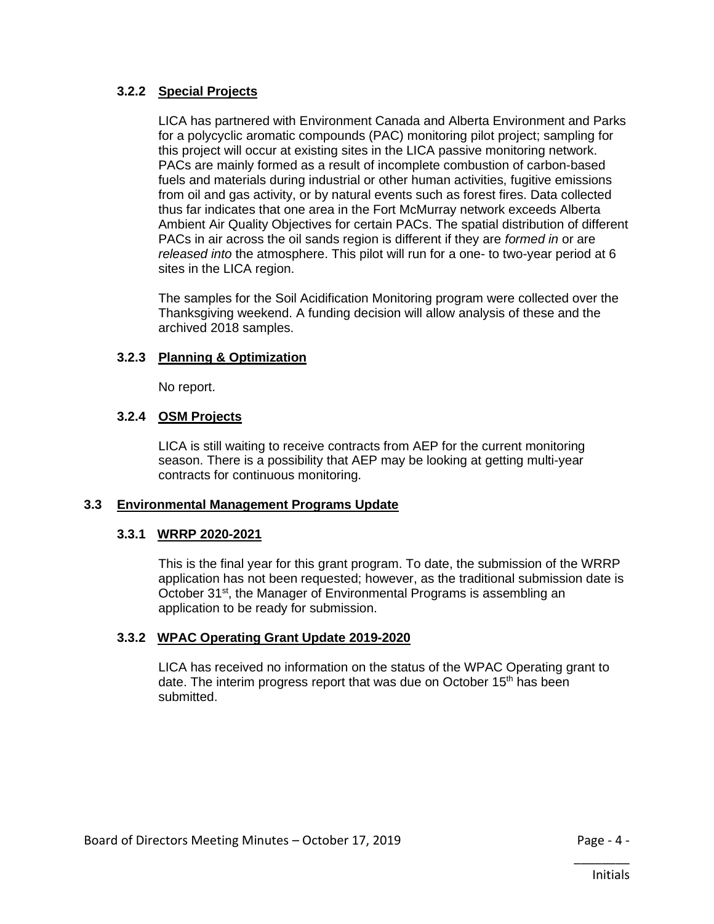# **3.2.2 Special Projects**

LICA has partnered with Environment Canada and Alberta Environment and Parks for a polycyclic aromatic compounds (PAC) monitoring pilot project; sampling for this project will occur at existing sites in the LICA passive monitoring network. PACs are mainly formed as a result of incomplete combustion of carbon-based fuels and materials during industrial or other human activities, fugitive emissions from oil and gas activity, or by natural events such as forest fires. Data collected thus far indicates that one area in the Fort McMurray network exceeds Alberta Ambient Air Quality Objectives for certain PACs. The spatial distribution of different PACs in air across the oil sands region is different if they are *formed in* or are *released into* the atmosphere. This pilot will run for a one- to two-year period at 6 sites in the LICA region.

The samples for the Soil Acidification Monitoring program were collected over the Thanksgiving weekend. A funding decision will allow analysis of these and the archived 2018 samples.

# **3.2.3 Planning & Optimization**

No report.

# **3.2.4 OSM Projects**

LICA is still waiting to receive contracts from AEP for the current monitoring season. There is a possibility that AEP may be looking at getting multi-year contracts for continuous monitoring.

# **3.3 Environmental Management Programs Update**

# **3.3.1 WRRP 2020-2021**

This is the final year for this grant program. To date, the submission of the WRRP application has not been requested; however, as the traditional submission date is October 31<sup>st</sup>, the Manager of Environmental Programs is assembling an application to be ready for submission.

# **3.3.2 WPAC Operating Grant Update 2019-2020**

LICA has received no information on the status of the WPAC Operating grant to date. The interim progress report that was due on October  $15<sup>th</sup>$  has been submitted.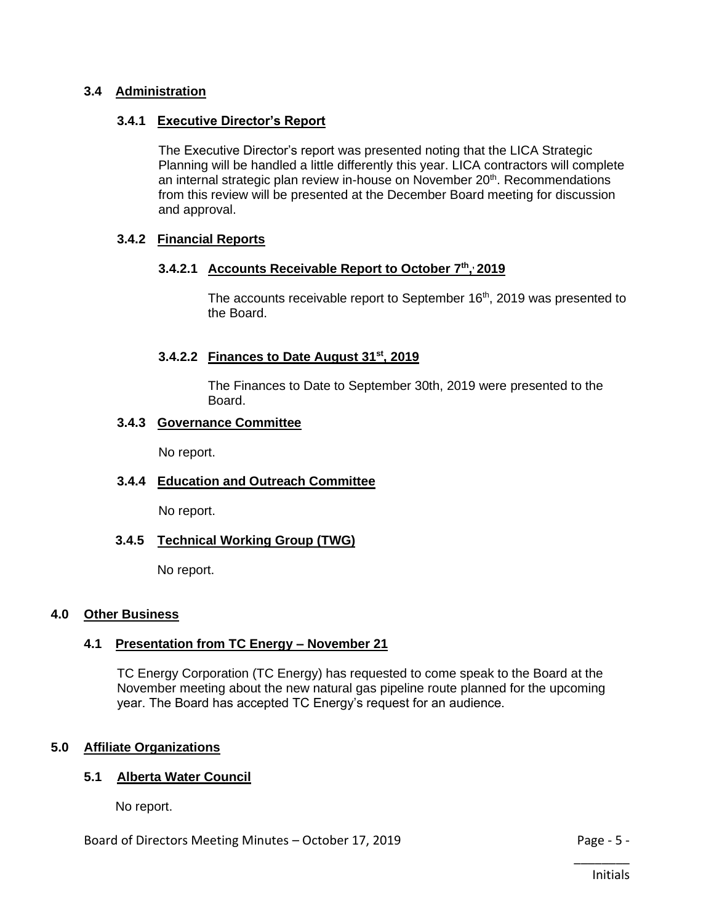# **3.4 Administration**

# **3.4.1 Executive Director's Report**

The Executive Director's report was presented noting that the LICA Strategic Planning will be handled a little differently this year. LICA contractors will complete an internal strategic plan review in-house on November 20<sup>th</sup>. Recommendations from this review will be presented at the December Board meeting for discussion and approval.

# **3.4.2 Financial Reports**

# **3.4.2.1 Accounts Receivable Report to October 7th , , 2019**

The accounts receivable report to September 16<sup>th</sup>, 2019 was presented to the Board.

# **3.4.2.2 Finances to Date August 31st, 2019**

The Finances to Date to September 30th, 2019 were presented to the Board.

# **3.4.3 Governance Committee**

No report.

# **3.4.4 Education and Outreach Committee**

No report.

# **3.4.5 Technical Working Group (TWG)**

No report.

# **4.0 Other Business**

# **4.1 Presentation from TC Energy – November 21**

TC Energy Corporation (TC Energy) has requested to come speak to the Board at the November meeting about the new natural gas pipeline route planned for the upcoming year. The Board has accepted TC Energy's request for an audience.

# **5.0 Affiliate Organizations**

# **5.1 Alberta Water Council**

No report.